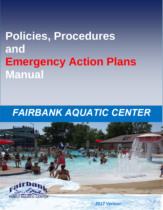# **Policies, Procedures and Emergency Action Plans Manual**

# **FAIRBANK AQUATIC CENTER**

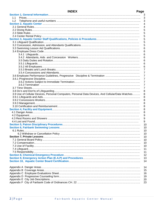| <b>INDEX</b> | Page |
|--------------|------|
|--------------|------|

|                                                                                                   | 3              |
|---------------------------------------------------------------------------------------------------|----------------|
| 1.1                                                                                               | 3              |
| 1.2                                                                                               | 3              |
|                                                                                                   | 4              |
|                                                                                                   | 4              |
|                                                                                                   | 5              |
|                                                                                                   | 5              |
|                                                                                                   | 5              |
|                                                                                                   | 5              |
|                                                                                                   | 5              |
|                                                                                                   | 5              |
|                                                                                                   |                |
|                                                                                                   | 6              |
|                                                                                                   | 6              |
|                                                                                                   | 6              |
|                                                                                                   | 6              |
|                                                                                                   | 6              |
|                                                                                                   | 6              |
|                                                                                                   | 6              |
|                                                                                                   | 7              |
|                                                                                                   | 7              |
|                                                                                                   |                |
|                                                                                                   | 7              |
|                                                                                                   | $\overline{7}$ |
|                                                                                                   | $\overline{7}$ |
|                                                                                                   | $\overline{7}$ |
|                                                                                                   |                |
|                                                                                                   | 8              |
| 3.9 Use of Cellular Devices, Personal Computers, Personal Data Devices, And Cellular/Data Watches | 8              |
|                                                                                                   | 8              |
|                                                                                                   | 8              |
|                                                                                                   | 8              |
|                                                                                                   | 8              |
|                                                                                                   | 8              |
|                                                                                                   | 8              |
|                                                                                                   | 9              |
|                                                                                                   | 9              |
|                                                                                                   | 9              |
|                                                                                                   | 10             |
|                                                                                                   | 10             |
|                                                                                                   | 10             |
|                                                                                                   |                |
|                                                                                                   | 10             |
|                                                                                                   | 10             |
|                                                                                                   | 10             |
|                                                                                                   | 10             |
|                                                                                                   | 10             |
|                                                                                                   | 11             |
|                                                                                                   | 11             |
|                                                                                                   | 12             |
|                                                                                                   | 13             |
|                                                                                                   | 14             |
|                                                                                                   |                |
|                                                                                                   | 14             |
|                                                                                                   | 15             |
|                                                                                                   | 16             |
|                                                                                                   |                |
|                                                                                                   | 19             |
|                                                                                                   | 20             |
|                                                                                                   | 23             |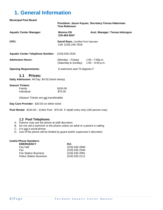# **1. General Information**

| <b>Municipal Pool Board</b>             | President- Jason Kayser, Secretary-Teresa Haberman<br><b>Tina Robinson</b>   |                                |
|-----------------------------------------|------------------------------------------------------------------------------|--------------------------------|
| <b>Aquatic Center Manager:</b>          | <b>Monica Ott</b><br>319-464-5547                                            | Asst. Manager: Teresa Imbrogno |
| CPO:                                    | <b>David Ryan, Certified Pool Operator</b><br>Cell- (319) 240-7818           |                                |
| <b>Aquatic Center Telephone Number:</b> | $(319)-635-2533$                                                             |                                |
| <b>Admission Hours:</b>                 | $(Monday - Friday)$ 1:00 -7:00p.m.<br>(Saturday & Sunday) $1:00 - 6:00$ p.m. |                                |
| <b>Opening Requirements:</b>            | 8 swimmers and 70 degrees F                                                  |                                |
| <b>Prices:</b><br>1.1                   |                                                                              |                                |

**Daily Admission:** All Day: \$4.00 (hand stamp)

### **Season Tickets:**

| Family     | \$150.00 |
|------------|----------|
| Individual | \$75.00  |

(Season Tickets are not transferable)

**Day Care Provider:** \$20.00 on either ticket

**Pool Rental:** \$150.00 – Entire Pool \$75.00 0' depth entry only (100 person max)

### **1.2 Pool Telephone:**

- A. Patrons may use the phone at staff discretion.
- B. Do not call a swimmer to the phone unless an adult or a parent is calling.
- C. It is not a social phone.
- D. Use of the phone will be limited by guard and/or supervisor's discretion.

### **Useful Phone Numbers:**

| 911              |
|------------------|
| $(319)$ 635-2869 |
| (319) 635-2340   |
| (319) 635-2981   |
| $(319)$ 635-2111 |
|                  |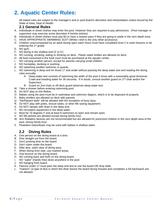# **2. Aquatic Center Rules:**

All stated rules are subject to the manager's and or pool board's discretion and interpretation unless bound by the State of Iowa, Dept of Health.

### **2.1 General Rules**

- A. Individuals in street clothes may enter the pool. However they are required to pay admissions. (Pool manager or supervisor may exercise some discretion if he/she wishes)
- B. Individuals in street clothes must pay \$3 or have a season pass if they are going to wade in the zero depth area.
- C. HAVE APPROPRIATE SWIMMING SUIT! (White t-shirt is the only other accessory)
- D. Children unaccompanied by an adult during open swim hours must have completed level 2 in swim lessons or be entering the 1st grade.
- E. NO gum.
- F. NO diving in the shallow end (3' to 5').
- G. NO running, smoking, eating or drinking on deck. Plastic water bottles are allowed on deck.
- H. All food consumed in the food court must be purchased at the aquatic center.
- I. NO carrying another person, except for parents carrying small children.
- J. NO horseplay, dunking or pushing.
- K. NO splashing another swimmer or guards.
- L. NO swimming in deep end for those 17 and under without passing the deep water test and reading the diving rules annually.
	- A. Deep-water test consists of swimming the width of the pool 4 times with a reasonably good American Crawl and treading water for 30 seconds. If in doubt, consult another guard on  $2<sup>nd</sup>$  chair and/or the Supervisor.
	- B. Guard on 2nd chair or off deck guard observes deep-water test.
- M. Take a shower before entering swimming pool.
- N. Do NOT play on the lifeline.
- O. Babies using the pool must be in swimwear and swimmer diapers, which is to be disposed of properly.
- P. Baby strollers are allowed on deck with parents.
- Q. "Nerf/beach balls" will be allowed with the exception of busy days.
- R. Do NOT play with poles, rescue tubes, or other life saving equipment.
- S. Do NOT tamper with drain in the deep end.
- T. NO recreation equipment in the deep water.
- U. Must be 70 degrees F and at least 8 swimmers to open and remain open.
- V. NO life jackets are allowed except during family hour.
- W. Arm floatation devices are not recommended but are allowed for preschool children in the zero depth area of the pool, during family hour.
- X. Floatation tubes/boats may be used with babies in shallow water.

# **2.2 Diving Rules**

- A. One person on the diving board at a time.
- B. Dive straight out from the board.
- C. Don't prolong time on the board.
- D. Don't swim under the board.
- E. After dive, swim clear of diving area.
- F. When diving from side, use marked areas.
- G. One bounce on the diving board.
- H. NO running back and forth on the diving board.
- I. NO "sailor" (hands free) dives anywhere in the pool.
- J. NO hanging from board.
- K. Patrons under 17 must pass the deep end test to use the board OR drop slide.
- L. "Gainers" (a type of dive in which the diver leaves the board facing forward and completes a full backward) are not allowed.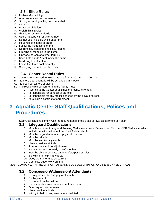# **2.3 Slide Rules**

- A. No head-first sliding.
- B. Adult supervision recommended.
- C. Strong swimming ability recommended.
- D. warnings
- E. Water depth is feet.
- F. Weight limit 300lbs
- G. \*based on astm standards
- H. Users must be 48" or taller to ride.
- I. Do not use this slide while under the
- J. influence of alcohol or drugs.
- K. Follow the instructions of the
- L. No running, standing, kneeling, rotating,
- M. tumbling or stopping in the flume.
- N. Only one person at a time. forming
- O. Keep both hands & feet inside the flume
- P. No diving from the flume.
- Q. Leave the flume pool promptly
- R. Slide lying on back, feet first only

### **2.4 Center Rental Rules**

- A. Center can be rented for exclusive use from 8:30 p.m. 10:00 p.m.
- B. No more than 2 rentals will be scheduled in a week
- C. No open containers of alcohol
- D. The responsible person renting the facility must:
	- 1. Remain at the Center at all times the facility is rented.
		- 2. Is responsible for conduct of patrons.
		- 3. Is responsible for any messes caused by the private patrons.
		- 4. Must sign a contract of agreement.

# **3 Aquatic Center Staff Qualifications, Polices and Procedures:**

Staff Qualifications comply with the requirements of the State of Iowa Department of Health.

### **3.1 Lifeguard Qualifications:**

- 1. Must have current Lifeguard Training Certificate, current Professional Rescuer CPR Certificate, which includes adult, child, infant and First Aid Certificate.
- 2. Must be in good mental and physical condition.
- 3. Must be reliable.
- 4. Must be emotionally stable.
- 5. Have a positive attitude.
- 6. Possess tact and good judgment.
- 7. Know rules and be ready to enforce them.
- 8. Must be able to educate patrons of purpose of rules.
- 9. Be willing to help in any area.
- 10. Obey the same rules as patrons.
- 11. Complete paper work on time.

MUST COMPLY WITH THE CITY OF FAIRBANK'S JOB DESCRIPTION AND PERSONNEL MANUAL.

### **3.2 Concession/Admission/ Attendants:**

- **1.** Be in good mental and physical health.
- **2.** Be 14 years old.
- **3.** Personable with children.
- **4.** Know aquatic center rules and enforce them.
- **5.** Obey aquatic center rules.
- **6.** Have positive attitude.
- **7.** Willing to help in any area where qualified.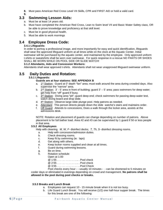- **8.** Must pass American Red Cross Level VII Skills, CPR and FIRST AID or hold a valid card.
- **9.**

# **3.3 Swimming Lesson Aids:**

- a. Must be at least 14 years old.
- b. Must have completed the American Red Cross, Lean to Swim level VII and Basic Water Safety class, OR be able to prove knowledge and proficiency at that skill level.
- c. Must be in good physical health.
- 5. Must be able to work mornings

# **3.4 Employee Dress Code:**

### **3.4.1 Lifeguards:**

In order to portray a professional image, and more importantly for easy and quick identification, lifeguards shall wear the approved lifeguard uniform at all times while on the clock at the Aquatic Center. Initial swimwear will be purchased by the aquatic center, and maintained by the employee. Only approved uniform t-shirts or sweatshirts shall be worn over swimwear. For quick response in a rescue NO PANTS OR SHOES SHALL BE WORN WHILE ON POOL SIDE OR SLIDE WATCH!

### **3.1.2 Attendants, Aids and Concession Workers:**

Attendants shall wear approved t-shirts. Attendants shall not wear unapproved lifeguard swimwear uniform.

# **3.5 Daily Duties and Rotation:**

### **3.5.1 Lifeguards:**

### **Guards are at four stations: SEE APPENDIX B**

- a. 1st Station: Guard at 0' depth "fan" area; must walk around the area during crowded days. Also supervise the "narrow" area.
- b.  $2<sup>nd</sup> Station: 3' 5' area in front of building; guard 3' 5' area; pass swimmers for deep water;$ get help from "off" guard if busy.
- c.  $3<sup>rd</sup> Station: Diving area "pit"; guard deep end; check swimmers for passing deep-water test,$ watch diving board and drop slide.
- d.  $4<sup>th</sup> Station: Observe large slide plunge pool. Help patterns as needed.$
- e. Attendant: This person directs people down the slide watche's stairs and maintains order.
- f. Off Guard: Attends to concessions, Does a walk through the locker area, assists at the admissions desk.

NOTE: Rotation and placement of guards can change depending on number of patrons. Above placement is for full bather load. Area #2 and #3 can be supervised by 1 guard if 50 or less people in that area.

### **3.5.2 All Employees**

- Help with cleaning. *M, W, F* disinfect decks; *T, Th, S* disinfect dressing rooms.
	- a. Help with concession/admission duties.
	- b. Check dressing rooms.
	- c. Keep fit by swimming (ie: laps)
	- d. Get along with others.
	- e. Keep locker rooms supplied and clean at all times.
	- f. Guard during swimming lessons.
	- g. Be on time.
	- h. Rotation schedule:

| Open at 1:00                        |  |
|-------------------------------------|--|
| @ 1:55 Pool check                   |  |
| @ 2:55 Pool check                   |  |
| @ 3:55 Pool Check                   |  |
| Dool obooks overy bour upually 10 m |  |

Pool checks every hour - - usually 10 minutes - - can be shortened to 5 minutes on cooler days or eliminated in evenings depending on crowd and management. **No patrons shall be allowed in the pool during pool checks or breaks.**

### **3.5.3 Breaks and Lunch Break**

- a. Employees can request 10 15 minute break when it is not too busy.
- b. Life Guard Lunch Break: You will receive (1/2) one half-hour supper break. The times for this break are one of the following: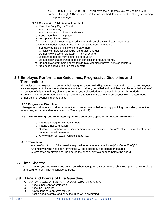4:30, 5:00, 5:30, 6:00, 6:30, 7:00. ( if you have the 7:00 break you may be free to go home for the night ) These times and the lunch schedule are subject to change according to the pool manager.

### **3.5.4 Concession / Admission Attendant:**.

- a. Keep the *Daily Report Sheet*.
- b. Account for money.
- c. Account for and stock food and candy
- d. Keep everything in its place.
- e. Help put equipment away.
- f. Keep concession room organized, clean and compliant with health code rules.
- g.Count all money, record in book and set aside opening change.
- h. Sell daily admissions, tickets and date them.
- i. Check swimmers for swimsuits, band-aids, and gum.
- j. Do not allow bikes on sidewalk in front of counter.
- k. Discourage people from gathering at counter.
- l. Do not allow unauthorized people in concession or guard rooms.
- m. Do not allow swimmers and visitors to play with ticket boxes, pens or counters.
- n. No one is allowed to sit on the counters.

# **3.6 Employee Performance Guidelines, Progressive Discipline and Termination:**

All employees are expected to perform their assigned duties with diligence, respect, and kindness. Employees are also expected to know the fundamentals of their position, be skilled and proficient, and be knowledgeable of the content of this manual. By signing the "Employee Acknowledgement" you indicate such. Periodic evaluations will be performed by utilizing Appendix C to identify areas where employees excel, and/or need further training, counseling or guidance

### **3.6.1 Progressive Discipline**

Management will attempt to alter or correct improper actions or behaviors by providing counseling, corrective measures, and a timetable for correction (See appendix F).

### **3.6.2 The following (but not limited to) actions shall be subject to immediate termination:**

- a. Flagrant disregard to safety or duty.
- b. Flagrant Insubordination.
- c. Statements, writings, or actions demeaning an employee or patron's religion, sexual preference, race, or sexual orientation.
- d. Any violation of Iowa or United States law.

### **3.6.3 Termination**

A vote of two thirds of the board is required to terminate an employee [City Code 22.06(5)]. An employee who has been terminated will be notified by appropriate measures. A terminated employee shall be offered the opportunity to a hearing before the board.

### **3.7 Time Sheets:**

Punch in when you get to work and punch out when you go off duty or go to lunch. Never punch anyone else's time card for them. That is considered fraud.

# **3.8 Do's and Don'ts of Life Guarding:**

- A. DO PAY CLOSE ATTENTION TO YOUR GUARDING AREA.
- B. DO use sunscreen for protection.
- C. DO use the umbrellas.
- D. DO swim laps to keep physically fit.
- E. DO set a good example and obey the rules while swimming.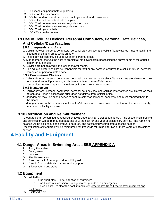- F. DO check equipment before guarding.
- G. DO report for duty on time.
- H. DO be courteous, kind and respectful to your work and co-workers.
- I. DO be fair and consistent with discipline.
- J. DON'T talk to swimmers excessively while on duty.
- K. DON'T talk to friends excessively while on duty.
- L. DON'T twirl your whistle
- M. DON'T sit on the counter

# **3.9 Use of Cellular Devices, Personal Computers, Personal Data Devices, And Cellular/Data Watches**

### **3.9.1 Lifeguards and Aids**

- a. Cellular devices, personal computers, personal data devices, and cellular/data watches must remain in the lifeguard office at all times while on duty.
- b. These devices can only be used when on personal break.
- c. Management reserves the right to prohibit all employees from possessing the above items at the aquatic center for due cause.
- d. Devices are not allowed in the locker/shower rooms.
- e. The aquatic center shall not be responsible for theft or any damage occurred to a cellular device, personal computer, or personal data device.

### **3.9.2 Concessions Workers**

- a. Cellular devices, personal computers, personal data devices, and cellular/data watches are allowed on their person at all times if possessing such does not detract from official duties.
- b. Concessions workers may not have devices in the locker/shower rooms.

### **3.9.3 Management**

- a. Cellular devices, personal computers, personal data devices, and cellular/data watches are allowed on their person at all times if possessing such does not detract from official duties.
- b. Management may use such devises to capture safety or personnel concerns, and must reported them to the Board.
- c. Managers may not have devices in the locker/shower rooms, unless used to capture or document a safety, personnel, or facility concern.

# **3.10 Certification and Reimbursement**

Lifeguards shall be certified as required by Iowa Code 10.3(1) "Certified Lifeguard". The cost of initial training and certification will be reimbursed at a rate of  $\frac{1}{2}$  the cost for one year of satisfactory service. The remaining balance will be paid should the lifeguard be hired, and satisfactorily completed a second season. Recertification of lifeguards will be reimbursed for lifeguards returning after two or more years of satisfactory service.

# **4 Facility and Equipment**

# **4.1 Danger Areas in Swimming Areas SEE APPENDIX A**

- A. Along the lifeline
- B. Diving areas
- C. Ladders.
- D. The Narrow area
- E. Area directly in front of pool side building exit
- F. Area in front of slide discharges in plunge pool
- G. Slide platform and stairs

# **4.2 Equipment:**

- A. WHISTLES
	- 1. One short blast to get attention of swimmers.
	- 2. Two blasts in succession to signal other guards of an emergency.
	- 3. Three blasts to clear the pool immediately (emergency! Need Emergency Equipment and
	- Backboard)
- B. KICKBOARDS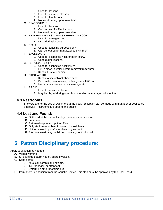- 1. Used for lessons.
- 2. Used for exercise classes.
- 3. Used for family hour.
- 4. Not used during open swim time.
- C. RINGS/STICKS
	- 1. Used for lessons.
	- 2. Can be used for Family Hour.
	- 3. Not used during open swim time.
- D. REACHING POLES AND SHEPHERD'S HOOK
	- 1. Used for emergencies.
	- 2. Used during lessons.
- E. PFD'S
	- 1. Used for teaching purposes only.
	- 2. Can be loaned for handicapped swimmer.
- F. BACKBOARD
	- 1. Used for suspected neck or back injury.
	- 2. Used during lessons.
- G. CERVICAL COLLAR
	- 1. Used for suspected neck injury.
	- 2. Put in place in water before removal from water.
	- 3. Kept in First Aid cabinet.
- H. FIRST AID KIT
	- 1. Kept in office cabinet above desk.
	- 2. Band-aids, compresses, rubber gloves, H2O, etc.
	- 3. Ice packs - use ice cubes in refrigerator.
- I. RADIO
	- 1. Used for exercise classes.
	- 2. May be played during open hours, under the manager's discretion

### **4.3 Restrooms:**

Showers are for the use of swimmers at the pool. (Exception can be made with manager or pool board approval) Restrooms are open to the public.

### **4.4 Lost and Found:**

- A. Gathered at the end of the day when sides are checked.
- B. Laundered.
- C. Returned to pool and put in office.
- D. Only staff are members to search for lost items.
- E. Not to be used by staff members or given out.
- F. After one week, any unclaimed money goes to city hall.

# **5 Patron Disciplinary procedure:**

(Apply to situation as needed.)

- A. Verbal warning.
- B. Sit out (time determined by guard involved.)
- C. Send home.
	- 1. Must call parents and explain.
	- 2. Tell Manager, or attendant.
	- 3. Determine amount of time out.
- D. Permanent Suspension from the Aquatic Center. This step must be approved by the Pool Board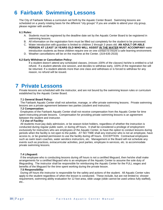# **6 Fairbank Swimming Lessons**

The City of Fairbank follows a curriculum set forth by the Aquatic Center Board. Swimming lessons are scheduled on a yearly rotating basis for the different "city groups" If you are unable to attend your city group, please register with another.

### **6.1 Rules:**

- A. Students must be registered by the deadline date set by the Aquatic Center Board to be registered in swimming lessons.
- B. All information on the registration form must be filled out completely for the student to be processed.
- C. Water introduction with guardian is limited to children 2 through 3 years old. **AN ADULT OR ABLE PERSON AT LEAST 14 YEARS OLD WHO WILL ASSIST IN THE WATER MUST ACCOMPANY** water introduction students as these children require one on one contact to insure a safe learning environment.
- D. Weather cancellations will be on the machine at the Center. (319-635-2533)

### **6.2 Early Withdraw or Cancellation Policy:**

If a student doesn't attend any scheduled classes, (*misses 100% of the classes*) he/she is entitled to a full refund. If a student attends one session, and decides to withdraw early, 100% of the registration fee will be returned. If a student attends more than one class and withdraws or is forced to withdraw for any reason, no refund will be issued.

# **7 Private Lessons**

Private lessons are scheduled with the instructor, and are not bound by the swimming lesson rules or curriculum established by the Aquatic Center Board.

### **7.1 General Board Policy:**

The Fairbank Aquatic Center shall not advertise, manage, or offer private swimming lessons. Private swimming lessons are a private agreement between two parties (student and instructor).

### **7.2 Compensation:**

Employees of the Fairbank Aquatic Center shall not receive compensation from the Aquatic Center for time spent instructing private lessons. Compensation for providing private swimming lessons is an agreement between the student and instructor.

### **7.3 Use of Facility:**

All students must pay daily admission, or be season ticket holders, regardless of whether the instruction is conducted during regular public swim, or during off hours. It shall be considered a privilege of employment exclusively for instructors who are employees of the Aquatic Center, to have the option to conduct lessons during periods when the facility is not open to the public. AT NO TIME shall any instructor who is not an employee, have access to, or be granted permission to use the facility during off hours. EXCEPTION: Contractual employees such as swim team coaches, water aerobics instructors, etc. Management or the Board will not schedule any events such as practices, extracurricular activities, pool parties, employee in-services, etc. to accommodate private swimming lessons.

### **7.4 Lifeguard:**

If the employee who is conducting lessons during off hours is not a certified lifeguard, then he/she shall make arrangements for a certified lifeguard who is an employee of the Aquatic Center to assume the sole duty of lifeguarding. The instructor shall be responsible for reimbursing the Aquatic Center for the FULL wages and benefits of the lifeguard for the time spent working during the private lesson.

### **7.5 Responsibility:**

During off hours the instructor is responsible for the safety and actions of the student. All Aquatic Center rules apply to the student regardless of when the lesson is conducted. These include, but are not limited to: shower requirement, swimming ability evaluation for 12 foot area, slide usage (slide cannot be used unless fully staffed), etc..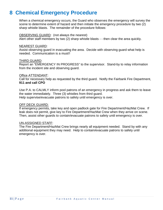# **8 Chemical Emergency Procedure**

When a chemical emergency occurs, the Guard who observes the emergency will survey the scene to determine extent of hazard and then initiate the emergency procedure by two (2) sharp whistle blasts. The remainder of the procedure follows:

### OBSERVING GUARD: (not always the nearest)

Alert other staff members by two (2) sharp whistle blasts - - then clear the area quickly.

### NEAREST GUARD:

Assist observing guard in evacuating the area. Decide with observing guard what help is needed. Communication is a must!!

### THIRD GUARD:

Report an "EMERGENCY IN PROGRESS" to the supervisor. Stand-by to relay information from the incident site and observing guard.

### Office ATTENDANT:

Call for necessary help as requested by the third guard. Notify the Fairbank Fire Department, **911 and call CPO**

Use P.A. to CALMLY inform pool patrons of an emergency in progress and ask them to leave the water immediately. Three (3) whistles from third guard. Help supervise/evacuate patrons to safety until emergency is over.

### OFF DECK GUARD:

If emergency permits, take key and open padlock gate for Fire Department/HazMat Crew. If leak does not permit, give key to Fire Department/HazMat Crew when they arrive on scene. Then, assist other guards to contain/evacuate patrons to safety until emergency is over.

### UN-ASSIGNED STAFF:

The Fire Department/HazMat Crew brings nearly all equipment needed. Stand by with any additional equipment they may need. Help to contain/evacuate patrons to safety until emergency is over.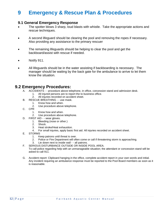# **9 Emergency & Rescue Plan & Procedures**

### **9.1 General Emergency Response**

- The spotter blows 3 sharp, loud blasts with whistle. Take the appropriate actions and rescue techniques.
- A second lifeguard should be clearing the pool and removing the ropes if necessary. Also providing any assistance to the primary rescuer
- The remaining lifeguards should be helping to clear the pool and get the backboard/assist with rescue if needed.
- Notify 911.
- All lifeguards should be in the water assisting if backboarding is necessary. The manager should be waiting by the back gate for the ambulance to arrive to let them know the situation.

# **9.2 Emergency Procedures:**

- A. ACCIDENTS - procedure above telephone, in office, concession stand and admission desk.
	- 1. All injured persons are to report the to business office.
	- 2. All injuries recorded on accident sheet.
- B. RESCUE BREATHING - use mask.
	- 1. Know how and when.
	- 2. Use procedure above telephone.
- C. CPR
	- 1. Know how and when.
	- 2. Use procedure above telephone.
- D. FIRST AID - wear gloves.
	- 1. Bleeding (nose or other.)<br>2. Shock.
	- Shock.
	- 3. Heat stroke/Heat exhaustion.
	- 4. For small injuries, apply basic first aid. All injuries recorded on accident sheet.
- E. STORMS
	- 1. Keep patrons until threat is over.
	- 2. Police or Fire Department will often come or call if threatening storm is approaching.
	- 3. Lie down next to inside wall - all patrons.
- F. SERIOUS DISTURBANCE OUTSIDE OR INSIDE POOL AREA. To call police regarding help with an unmanageable situation; the attendant or concession stand will be asked to call 911.
- G. Accident report: Clipboard hanging in the office, complete accident report in your own words and initial. Any incident requiring an ambulance response must be reported to the Pool Board members as soon as it is reasonable.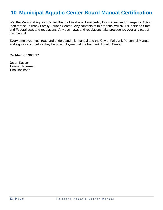# **10 Municipal Aquatic Center Board Manual Certification**

We, the Municipal Aquatic Center Board of Fairbank, Iowa certify this manual and Emergency Action Plan for the Fairbank Family Aquatic Center. Any contents of this manual will NOT supersede State and Federal laws and regulations. Any such laws and regulations take precedence over any part of this manual.

Every employee must read and understand this manual and the City of Fairbank Personnel Manual and sign as such before they begin employment at the Fairbank Aquatic Center.

### **Certified on 3/23/17**

Jason Kayser Teresa Haberman Tina Robinson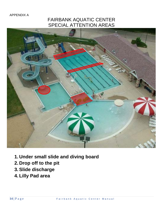APPENDIX A

# FAIRBANK AQUATIC CENTER SPECIAL ATTENTION AREAS



- **1. Under small slide and diving board**
- **2. Drop off to the pit**
- **3. Slide discharge**
- **4. Lilly Pad area**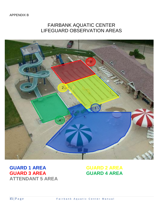APPENDIX B

# FAIRBANK AQUATIC CENTER LIFEGUARD OBSERVATION AREAS



**GUARD 1 AREA GUARD 2 AREA GUARD 3 AREA GUARD 4 AREA ATTENDANT 5 AREA**

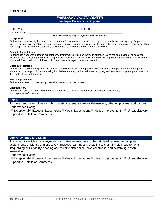### *FAIRBANK AQUATIC CENTER* Employee Performance Appraisal

Employee: \_\_\_\_\_\_\_\_\_\_\_\_\_\_\_\_\_\_\_\_\_\_\_\_\_\_\_\_\_\_\_\_\_\_ Position: \_\_\_\_\_\_\_\_\_\_\_\_\_\_\_\_\_\_\_\_\_\_\_\_\_\_\_\_\_\_\_\_\_

Supervisor  $(s)$ :

### *Performance Rating Categories and Definitions*

#### **Exceptional**

Performance consistently far exceeds expectations. Performance is characterized by exceptionally high work quality. Employees rated as having exceptional performance repeatedly make contributions which are far above the requirements of their position. They use exceptional judgment and regularly exhibit mastery of their job duties and responsibilities.

#### **Exceeds Expectations**

Performance frequently exceeds expectations. Performance indicates thorough attention to and the completing of all assigned responsibilities. Unusual problems are properly considered and generally well handled. Job improvement and initiative is regularly displayed. The contribution of these individuals is usually beyond what is expected.

#### **Meets Expectations**

Performance meets the requirements and standard expectations of the position. The position is being covered in an adequate manner and the responsibilities are being handled competently or the performance is progressing at an appropriate pace based on the length of time in the position.

#### **Needs Improvement**

Performance does not consistently meet all expectations of the position.

#### **Unsatisfactory**

Performance does not meet minimum expectations of the position. Supervisor should specifically identify unacceptable performance.

### **Safety**

To the extent the employee exhibits safety awareness towards themselves, other employees, and patrons. Performance Rating

 $\circ$  Exceptional  $\circ$  Exceeds Expectations  $\circ$  Meets Expectations  $\circ$  Needs Improvement  $\circ$  Unsatisfactory Supportive Details or Comments

### **Job Knowledge and Skills**

The extent to which an employee demonstrates knowledge and the skill level required to complete assignments efficiently and effectively. Includes learning and adapting to changing skill requirements, lifeguarding skills, facility cleaning and minor maintenance, physical fitness, and swimming lesson instruction.

Performance Rating

 $\circ$  Exceptional  $\circ$  Exceeds Expectations  $\circ$  Meets Expectations  $\circ$  Needs Improvement  $\circ$  Unsatisfactory Supportive Details or Comments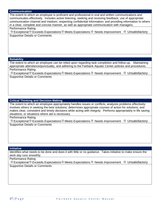### **Communication**

The extent to which an employee is proficient and professional in oral and written communications and communicates effectively. Includes active listening, seeking and receiving feedback; use of appropriate communication channel and medium; respecting confidential information; and providing information to others in a clear, complete and concise manner, as well as appropriate communication with managers.

### Performance Rating

 $\circ$  Exceptional  $\circ$  Exceeds Expectations  $\circ$  Meets Expectations  $\circ$  Needs Improvement  $\circ$  Unsatisfactory Supportive Details or Comments

### **Reliability**

The extent to which an employee can be relied upon regarding task completion and follow-up. Maintaining appropriate attendance/punctuality, and adhering to the Fairbank Aquatic Center policies and procedures. Performance Rating

 $\circ$  Exceptional  $\circ$  Exceeds Expectations  $\circ$  Meets Expectations  $\circ$  Needs Improvement  $\circ$  Unsatisfactory Supportive Details or Comments

### **Critical Thinking and Decision Making**

The extent to which an employee appropriately handles issues or conflicts; analyzes problems effectively; involves others in seeking the best solutions; determines appropriate courses of action for solutions; and makes clear, consistent and timely decisions while acting with integrity. Performs appropriately in life saving situations, or situations where aid is necessary.

Performance Rating

 $\circ$  Exceptional  $\circ$  Exceeds Expectations  $\circ$  Meets Expectations  $\circ$  Needs Improvement  $\circ$  Unsatisfactory Supportive Details or Comments

### **Initiative**

Identifies what needs to be done and does it with little or no guidance. Takes initiative to make ensure the work day runs smoothly.

Performance Rating

 $\circ$  Exceptional  $\circ$  Exceeds Expectations  $\circ$  Meets Expectations  $\circ$  Needs Improvement  $\circ$  Unsatisfactory Supportive Details or Comments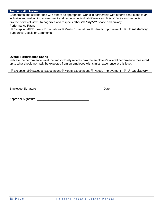### **Teamwork/Inclusion**

Cooperates and collaborates with others as appropriate; works in partnership with others; contributes to an inclusive and welcoming environment and respects individual differences. Recognizes and respects diverse points of view. Recognizes and respects other employee's space and privacy.

Performance Rating

 $\circ$  Exceptional  $\circ$  Exceeds Expectations  $\circ$  Meets Expectations  $\circ$  Needs Improvement  $\circ$  Unsatisfactory Supportive Details or Comments

### **Overall Performance Rating**

Indicate the performance level that most closely reflects how the employee's overall performance measured up to what should normally be expected from an employee with similar experience at this level.

 $\circ$  Exceptional  $\circ$  Exceeds Expectations  $\circ$  Meets Expectations  $\circ$  Needs Improvement  $\circ$  Unsatisfactory

Employee Signature\_\_\_\_\_\_\_\_\_\_\_\_\_\_\_\_\_\_\_\_\_\_\_\_\_\_\_\_\_\_\_\_\_\_\_\_\_\_\_\_ Date:\_\_\_\_\_\_\_\_\_\_\_\_\_\_\_\_\_\_\_\_\_

| Appraiser Signature: |  |
|----------------------|--|
|----------------------|--|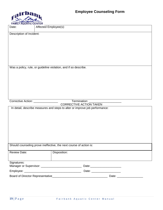

| Date:                    | Affected Employee(s):                                                                 |
|--------------------------|---------------------------------------------------------------------------------------|
| Description of Incident: |                                                                                       |
|                          |                                                                                       |
|                          |                                                                                       |
|                          |                                                                                       |
|                          |                                                                                       |
|                          |                                                                                       |
|                          | Was a policy, rule, or guideline violation, and if so describe.                       |
|                          |                                                                                       |
|                          |                                                                                       |
|                          |                                                                                       |
|                          |                                                                                       |
|                          |                                                                                       |
|                          |                                                                                       |
|                          | Termination:<br>Corrective Action: ________________<br><b>CORRECTIVE ACTION TAKEN</b> |
|                          | In detail, describe measures and steps to alter or improve job performance:           |
|                          |                                                                                       |
|                          |                                                                                       |
|                          |                                                                                       |
|                          |                                                                                       |
|                          |                                                                                       |
|                          |                                                                                       |
|                          | Should counseling prove ineffective, the next course of action is:                    |
| <b>Review Date:</b>      | Disposition:                                                                          |
|                          |                                                                                       |
| Signatures:              |                                                                                       |
|                          | Manager or Supervisor: __________________________________                             |
|                          |                                                                                       |
|                          | Board of Director Representative_<br>Date: $\overline{\phantom{a}}$                   |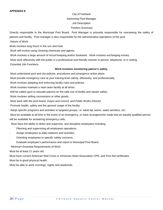# City of Fairbank Swimming Pool Manager Job Description Position Summary

Directly responsible to the Municipal Pool Board. Pool Manager is primarily responsible for overseeing the safety of patrons and facility. Pool manager is also responsible for the administrative operations of the pool.

Nature of Work

Work involves long hours in the sun and heat.

Work will involve using cleaning chemicals and agents.

Work involves a large amount of record keeping and/or bookwork. Work involves exchanging money.

Must work effectively with the public in a professional and friendly manner in person, telephone, or in writing.

Essential Job Functions

### **Work involves monitoring patron's safety.**

Must understand pool and city policies, procedures and emergence action plans.

Must provide emergency care at your training level calmly, effectively, and professionally.

Work involves adopting and enforcing facility rules and policies.

Work involves maintain a neat clean facility at all times.

Will be called upon to educate patrons on the safe use of facility and waster safety.

Work involves selling concessions or other goods.

Must work with the pool board, mayor and council, and Public Works Director.

Promote health, safety and the general usage of the facility.

Adopt specific programs and activities to targeted groups, i.e. adult lap swims, water aerobics, etc..

Must be available at all time in the event of an emergency, or have arrangements made that an equally qualified person will be available for answering emergency calls.

Must have the ability to direct and supervise, and discipline employees including:

- Planning and supervising all employees operations.
- Assign employees to daily rotations and activities.
- Orienting employees to specific safety concerns.
- Evaluate employee's performance and report to Municipal Pool Board.

Minimum Essential Requirements of Work

Must be at least 21 years old.

Must have current American Red Cross or American Heart Association CPR, and First Aid certificates.

Must be in good physical health.

Must be able to work mornings, nights and weekends.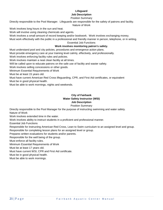# **Lifeguard**

# **Job Description**

### Position Summary

Directly responsible to the Pool Manager. Lifeguards are responsible for the safety of patrons and facility.

Nature of Work

Work involves long hours in the sun and heat.

Work will involve using cleaning chemicals and agents.

Work involves a small amount of record keeping and/or bookwork. Work involves exchanging money.

Must work effectively with the public in a professional and friendly manner in person, telephone, or in writing.

Essential Job Functions

### **Work involves monitoring patron's safety.**

Must understand pool and city policies, procedures and emergence action plans.

Must provide emergency care at your training level calmly, effectively, and professionally.

Work involves enforcing facility rules and policies.

Work involves maintain a neat clean facility at all times.

Will be called upon to educate patrons on the safe use of facility and waster safety.

Work involves selling concessions or other goods.

Minimum Essential Requirements of Work

Must be at least 15 years old.

Must have current American Red Cross lifeguarding, CPR, and First Aid certificates, or equivalent Must be in good physical health.

Must be able to work mornings, nights and weekends.

### **City of Fairbank Water Safety Instructor (WSI) Job Description**

Position Summary

Directly responsible to the Pool Manager for the purpose of instructing swimming and water safety. Nature of Work

Work involves extended time in the water.

Work involves ability to instruct students in a proficient and professional manner.

Essential Job Functions

Responsible for instructing American Red Cross, Lean to Swim curriculum to an assigned level and group.

Responsible for completing lesson plans for an assigned level or group.

Prepares written evaluations for students and/or parents.

Responsible for the well being of the group.

Must enforce all facility rules.

Minimum Essential Requirements of Work

Must be at least 17 years old.

Must have current WSI, CPR and First Aid certificate.

Must be in good physical health.

Must be able to work mornings.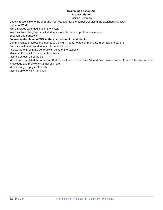### **Swimming Lesson Aid Job Description**

### Position Summary

Directly responsible to the WSI and Pool Manager for the purpose of aiding the assigned instructor.

Nature of Work

Work involves extended time in the water.

Work involves ability to instruct students in a proficient and professional manner.

Essential Job Functions

### **Follows instructions of WSI in the instruction of the students.**

Communicates progress of students to the WSI. Aid is not to communicate information to parents.

Enforces instructor's and facility rules and policies.

Assists the WSI with the general well-being of the students.

Minimum Essential Requirements of Work

Must be at least 14 years old.

Must have completed the American Red Cross, Lean to Swim level VII and Basic Water Safety class, OR be able to prove knowledge and proficiency at that skill level.

Must be in good physical health.

Must be able to work mornings.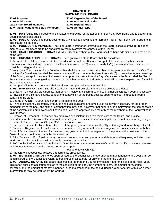### **CHAPTER 22 SWIMMING POOL BOARD**

| 22.01 Purpose                         | 22.05 Organization of the Board |
|---------------------------------------|---------------------------------|
| <b>22.02 Public Pool</b>              | <b>22.06 Powers and Duties</b>  |
| <b>122.03 Pool Board Members</b>      | 22.07 Expenditures              |
| 22.04 Qualifications of Board Members | 22.08 Annual Report             |
|                                       |                                 |

**22.01 PURPOSE.** The purpose of this chapter is to provide for the appointment of a City Pool Board and to specify that Board's powers and duties.

**22.02 PUBLIC POOL.** The public pool for the City shall be known as the Fairbank Public Pool. It shall be referred to in this chapter as the pool.

**22.03 POOL BOARD MEMBERS.** The Pool Board, hereinafter referred to as the Board, consists of five (5) resident members. All members are to be appointed by the Mayor with the approval of the Council.

**22.04 QUALIFICATIONS OF BOARD MEMBERS.** All members of the Board shall be bona fide citizens and residents of the City.

**22.05 ORGANIZATION OF THE BOARD.** The organization of the Board shall be as follows:

1. Term of Office. All appointments to the Board shall be for four (4) years, except to fill vacancies. Each term shall commence on July first. Appointments shall be made every two (2) years of one-half  $(\frac{1}{2})$  the total number or as near as possible, to stagger the terms.

2. Vacancies. The position of any Board member shall be vacated if such member moves permanently from the City. The position of a Board member shall be deemed vacated if such member is absent from six (6) consecutive regular meetings of the Board, except in the case of sickness or temporary absence from the City. Vacancies in the Board shall be filled in the same manner as an original appointment except that the new Board member shall fill out the unexpired term for which the appointment is made.

3. Compensation. Board members shall receive no compensation for their services.

**22.06 POWERS AND DUTIES.** The Board shall have and exercise the following powers and duties:

1. Officers. To meet and elect from its members a President, a Secretary, and such other officers as it deems necessary.

2. Physical Plant. To have charge, control and supervision of the public pool, its appurtenances, fixtures and rooms containing the same.

3. Charge of Affairs. To direct and control all affairs of the pool.

4. Hiring of Personnel. To employ lifeguards and such assistants and employees as may be necessary for the proper management of the pool, and fix their compensation; provided, however, that prior to such employment, the compensation of the assistants and employees shall have been fixed and approved by a majority of the members of the Board voting in favor thereof.

5. Removal of Personnel. To remove any employee or assistant, by a two-thirds vote of the Board, and provide procedures for the removal of the assistants or employees for misdemeanor, incompetence or inattention to duty, subject however, to the provisions of Chapter 35C of the Code of Iowa.

6. Use by Nonresidents. To authorize the use of the pool by nonresidents of the City or County and to fix charges therefor. 7. Rules and Regulations. To make and adopt, amend, modify or repeal rules and regulations, not inconsistent with this Code of Ordinances and the law, for the care, use, government and management of the pool and the business of the Board, fixing and enforcing penalties for violations.

8. Gifts. To accept gifts of real property, personal property, or mixed property, and devises and bequests, including trust funds and to take the title to said property in the name of the City.

9. Enforce the Performance of Conditions on Gifts. To enforce the performance of conditions on gifts, donations, devises and bequests accepted by the City on behalf of the pool.

### (Code of Iowa, Ch. 661)

10. Record of Proceedings. To keep a record of its proceedings.

**22.07 EXPENDITURES.** All money appropriated by the Council for the operation and maintenance of the pool shall be administered by the Council and Clerk. Expenditures shall be paid for only on orders of the Council.

**22.08 ANNUAL REPORT.** The Board shall make a report to the Council immediately after the close of the fiscal year. This report shall contain statements as to the condition of the pool, the number of users, the amount of revenues collected, and the amount of money expended in the maintenance of the pool during the year, together with such further